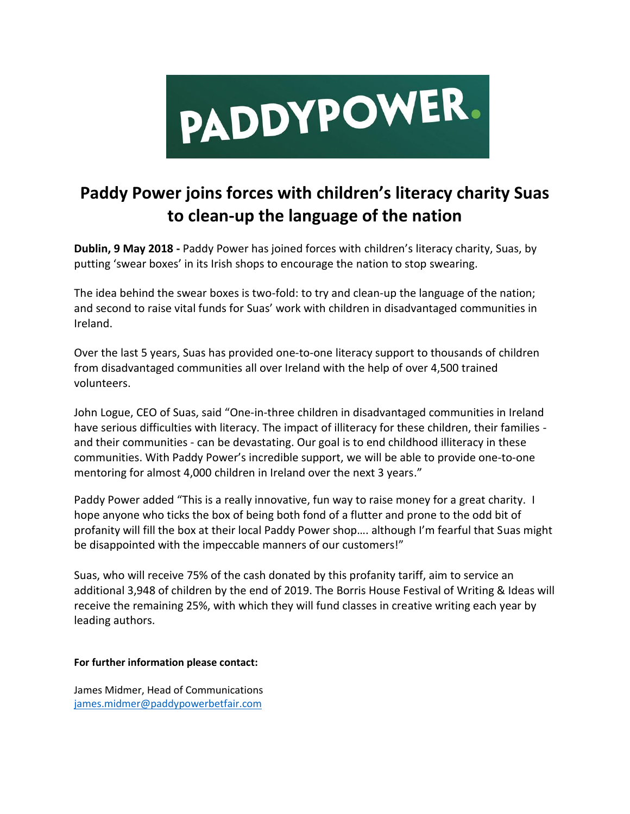

## **Paddy Power joins forces with children's literacy charity Suas to clean-up the language of the nation**

**Dublin, 9 May 2018 -** Paddy Power has joined forces with children's literacy charity, Suas, by putting 'swear boxes' in its Irish shops to encourage the nation to stop swearing.

The idea behind the swear boxes is two-fold: to try and clean-up the language of the nation; and second to raise vital funds for Suas' work with children in disadvantaged communities in Ireland.

Over the last 5 years, Suas has provided one-to-one literacy support to thousands of children from disadvantaged communities all over Ireland with the help of over 4,500 trained volunteers.

John Logue, CEO of Suas, said "One-in-three children in disadvantaged communities in Ireland have serious difficulties with literacy. The impact of illiteracy for these children, their families and their communities - can be devastating. Our goal is to end childhood illiteracy in these communities. With Paddy Power's incredible support, we will be able to provide one-to-one mentoring for almost 4,000 children in Ireland over the next 3 years."

Paddy Power added "This is a really innovative, fun way to raise money for a great charity. I hope anyone who ticks the box of being both fond of a flutter and prone to the odd bit of profanity will fill the box at their local Paddy Power shop…. although I'm fearful that Suas might be disappointed with the impeccable manners of our customers!"

Suas, who will receive 75% of the cash donated by this profanity tariff, aim to service an additional 3,948 of children by the end of 2019. The Borris House Festival of Writing & Ideas will receive the remaining 25%, with which they will fund classes in creative writing each year by leading authors.

## **For further information please contact:**

James Midmer, Head of Communications [james.midmer@paddypowerbetfair.com](mailto:james.midmer@paddypowerbetfair.com)